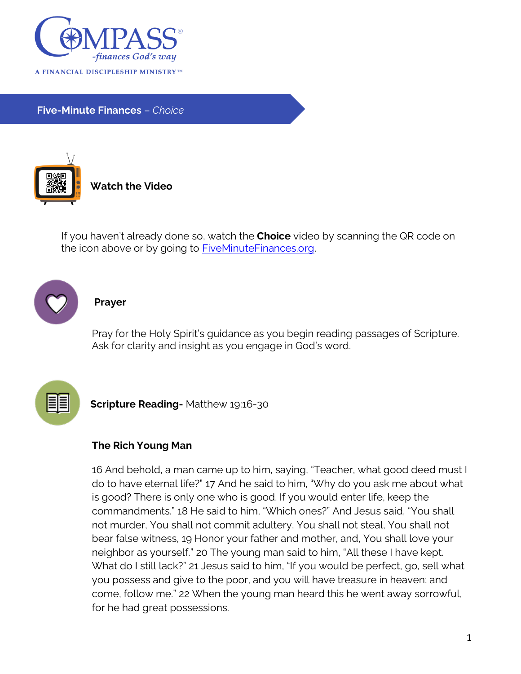

**Five-Minute Finances** – *Choice*



**Watch the Video**

If you haven't already done so, watch the **Choice** video by scanning the QR code on the icon above or by going to [FiveMinuteFinances.org.](http://www.fiveminutefinances.org/)



## **Prayer**

Pray for the Holy Spirit's guidance as you begin reading passages of Scripture. Ask for clarity and insight as you engage in God's word.



**Scripture Reading-** Matthew 19:16-30

## **The Rich Young Man**

16 And behold, a man came up to him, saying, "Teacher, what good deed must I do to have eternal life?" 17 And he said to him, "Why do you ask me about what is good? There is only one who is good. If you would enter life, keep the commandments." 18 He said to him, "Which ones?" And Jesus said, "You shall not murder, You shall not commit adultery, You shall not steal, You shall not bear false witness, 19 Honor your father and mother, and, You shall love your neighbor as yourself." 20 The young man said to him, "All these I have kept. What do I still lack?" 21 Jesus said to him, "If you would be perfect, go, sell what you possess and give to the poor, and you will have treasure in heaven; and come, follow me." 22 When the young man heard this he went away sorrowful, for he had great possessions.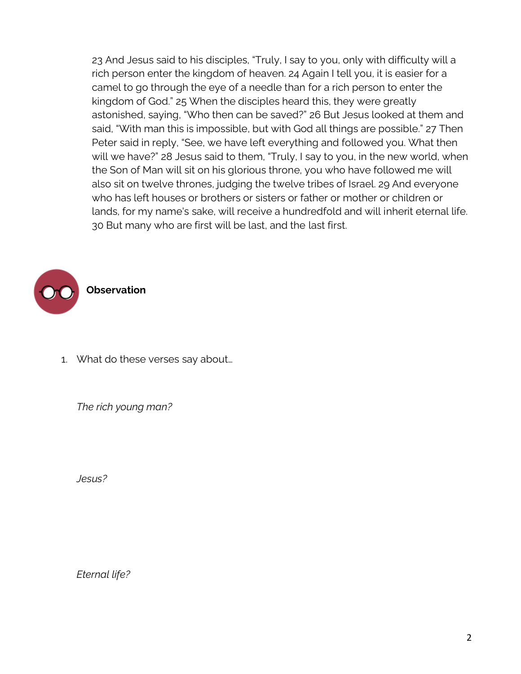23 And Jesus said to his disciples, "Truly, I say to you, only with difficulty will a rich person enter the kingdom of heaven. 24 Again I tell you, it is easier for a camel to go through the eye of a needle than for a rich person to enter the kingdom of God." 25 When the disciples heard this, they were greatly astonished, saying, "Who then can be saved?" 26 But Jesus looked at them and said, "With man this is impossible, but with God all things are possible." 27 Then Peter said in reply, "See, we have left everything and followed you. What then will we have?" 28 Jesus said to them, "Truly, I say to you, in the new world, when the Son of Man will sit on his glorious throne, you who have followed me will also sit on twelve thrones, judging the twelve tribes of Israel. 29 And everyone who has left houses or brothers or sisters or father or mother or children or lands, for my name's sake, will receive a hundredfold and will inherit eternal life. 30 But many who are first will be last, and the last first.



1. What do these verses say about…

*The rich young man?*

*Jesus?*

*Eternal life?*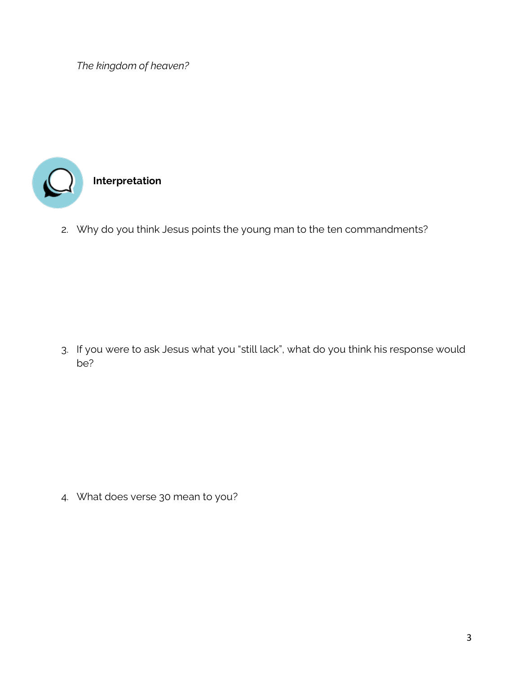*The kingdom of heaven?*



2. Why do you think Jesus points the young man to the ten commandments?

3. If you were to ask Jesus what you "still lack", what do you think his response would be?

4. What does verse 30 mean to you?